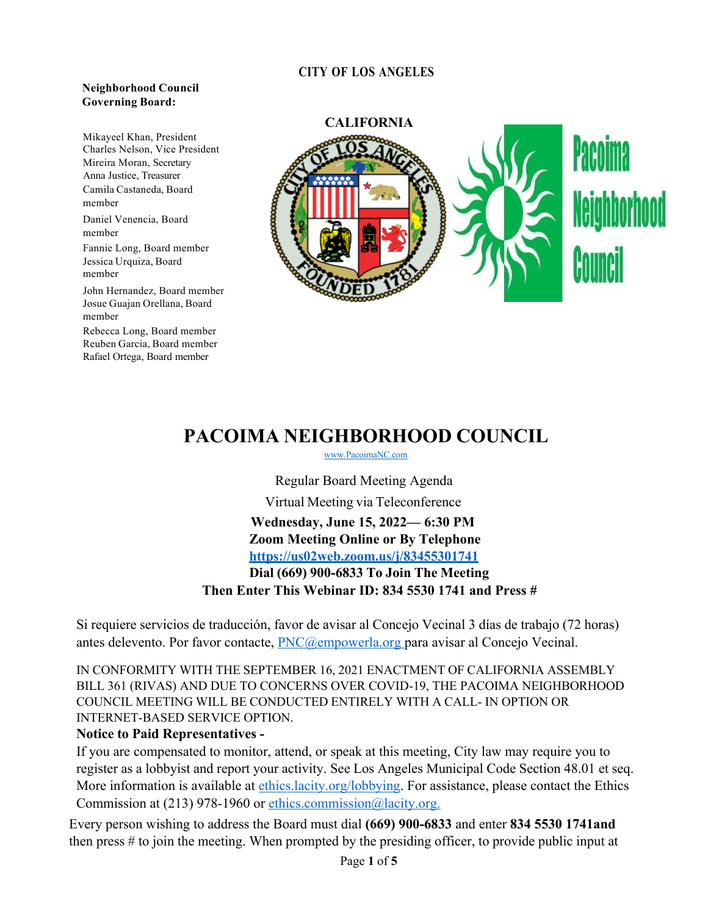#### **CITY OF LOS ANGELES**

#### **Neighborhood Council Governing Board:**

Mikayeel Khan, President Charles Nelson, Vice President Mireira Moran, Secretary Anna Justice, Treasurer Camila Castaneda, Board member

Daniel Venencia, Board member

Fannie Long, Board member Jessica Urquiza, Board member

John Hernandez, Board member Josue Guajan Orellana, Board member

Rebecca Long, Board member Reuben Garcia, Board member Rafael Ortega, Board member



# **PACOIMA NEIGHBORHOOD COUNCIL**

www.PacoimaNC.com

Regular Board Meeting Agenda Virtual Meeting via Teleconference

**Wednesday, June 15, 2022— 6:30 PM Zoom Meeting Online or By Telephone https://us02web.zoom.us/j/83455301741 Dial (669) 900-6833 To Join The Meeting Then Enter This Webinar ID: 834 5530 1741 and Press #**

Si requiere servicios de traducción, favor de avisar al Concejo Vecinal 3 días de trabajo (72 horas) antes delevento. Por favor contacte, PNC@empowerla.org para avisar al Concejo Vecinal.

IN CONFORMITY WITH THE SEPTEMBER 16, 2021 ENACTMENT OF CALIFORNIA ASSEMBLY BILL 361 (RIVAS) AND DUE TO CONCERNS OVER COVID-19, THE PACOIMA NEIGHBORHOOD COUNCIL MEETING WILL BE CONDUCTED ENTIRELY WITH A CALL- IN OPTION OR INTERNET-BASED SERVICE OPTION.

#### **Notice to Paid Representatives -**

If you are compensated to monitor, attend, or speak at this meeting, City law may require you to register as a lobbyist and report your activity. See Los Angeles Municipal Code Section 48.01 et seq. More information is available at ethics.lacity.org/lobbying. For assistance, please contact the Ethics Commission at (213) 978-1960 or ethics.commission@lacity.org.

Every person wishing to address the Board must dial **(669) 900-6833** and enter **834 5530 1741and**  then press # to join the meeting. When prompted by the presiding officer, to provide public input at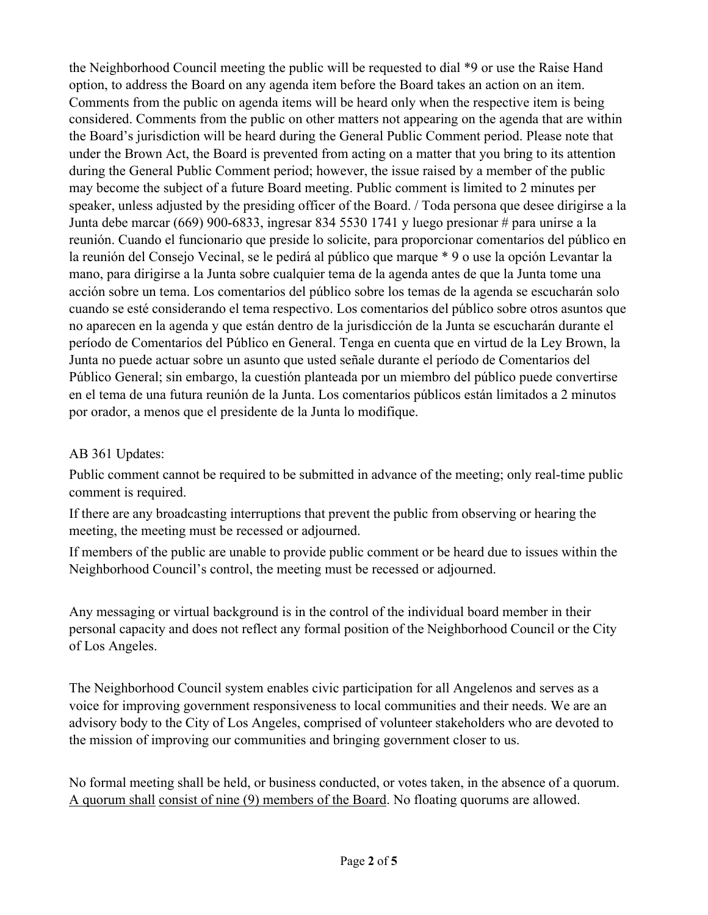the Neighborhood Council meeting the public will be requested to dial \*9 or use the Raise Hand option, to address the Board on any agenda item before the Board takes an action on an item. Comments from the public on agenda items will be heard only when the respective item is being considered. Comments from the public on other matters not appearing on the agenda that are within the Board's jurisdiction will be heard during the General Public Comment period. Please note that under the Brown Act, the Board is prevented from acting on a matter that you bring to its attention during the General Public Comment period; however, the issue raised by a member of the public may become the subject of a future Board meeting. Public comment is limited to 2 minutes per speaker, unless adjusted by the presiding officer of the Board. / Toda persona que desee dirigirse a la Junta debe marcar (669) 900-6833, ingresar 834 5530 1741 y luego presionar # para unirse a la reunión. Cuando el funcionario que preside lo solicite, para proporcionar comentarios del público en la reunión del Consejo Vecinal, se le pedirá al público que marque \* 9 o use la opción Levantar la mano, para dirigirse a la Junta sobre cualquier tema de la agenda antes de que la Junta tome una acción sobre un tema. Los comentarios del público sobre los temas de la agenda se escucharán solo cuando se esté considerando el tema respectivo. Los comentarios del público sobre otros asuntos que no aparecen en la agenda y que están dentro de la jurisdicción de la Junta se escucharán durante el período de Comentarios del Público en General. Tenga en cuenta que en virtud de la Ley Brown, la Junta no puede actuar sobre un asunto que usted señale durante el período de Comentarios del Público General; sin embargo, la cuestión planteada por un miembro del público puede convertirse en el tema de una futura reunión de la Junta. Los comentarios públicos están limitados a 2 minutos por orador, a menos que el presidente de la Junta lo modifique.

#### AB 361 Updates:

Public comment cannot be required to be submitted in advance of the meeting; only real-time public comment is required.

If there are any broadcasting interruptions that prevent the public from observing or hearing the meeting, the meeting must be recessed or adjourned.

If members of the public are unable to provide public comment or be heard due to issues within the Neighborhood Council's control, the meeting must be recessed or adjourned.

Any messaging or virtual background is in the control of the individual board member in their personal capacity and does not reflect any formal position of the Neighborhood Council or the City of Los Angeles.

The Neighborhood Council system enables civic participation for all Angelenos and serves as a voice for improving government responsiveness to local communities and their needs. We are an advisory body to the City of Los Angeles, comprised of volunteer stakeholders who are devoted to the mission of improving our communities and bringing government closer to us.

No formal meeting shall be held, or business conducted, or votes taken, in the absence of a quorum. A quorum shall consist of nine (9) members of the Board. No floating quorums are allowed.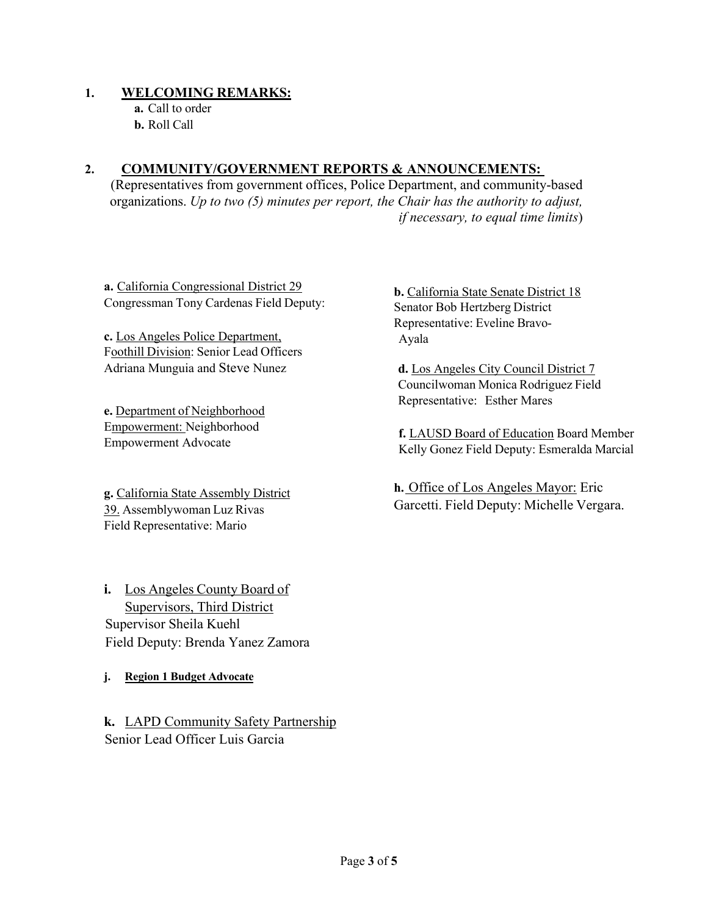#### **1. WELCOMING REMARKS:**

**a.** Call to order **b.** Roll Call

### **2. COMMUNITY/GOVERNMENT REPORTS & ANNOUNCEMENTS:**

(Representatives from government offices, Police Department, and community-based organizations. *Up to two (5) minutes per report, the Chair has the authority to adjust, if necessary, to equal time limits*)

**a.** California Congressional District 29 Congressman Tony Cardenas Field Deputy:

**c.** Los Angeles Police Department, Foothill Division: Senior Lead Officers Adriana Munguia and Steve Nunez

**e.** Department of Neighborhood Empowerment: Neighborhood Empowerment Advocate

**g.** California State Assembly District 39. Assemblywoman Luz Rivas Field Representative: Mario

**i.** Los Angeles County Board of Supervisors, Third District Supervisor Sheila Kuehl Field Deputy: Brenda Yanez Zamora

**j. Region 1 Budget Advocate**

**k.** LAPD Community Safety Partnership Senior Lead Officer Luis Garcia

**b.** California State Senate District 18 Senator Bob Hertzberg District Representative: Eveline Bravo-Ayala

**d.** Los Angeles City Council District 7 Councilwoman Monica Rodriguez Field Representative: Esther Mares

**f.** LAUSD Board of Education Board Member Kelly Gonez Field Deputy: Esmeralda Marcial

**h.** Office of Los Angeles Mayor: Eric Garcetti. Field Deputy: Michelle Vergara.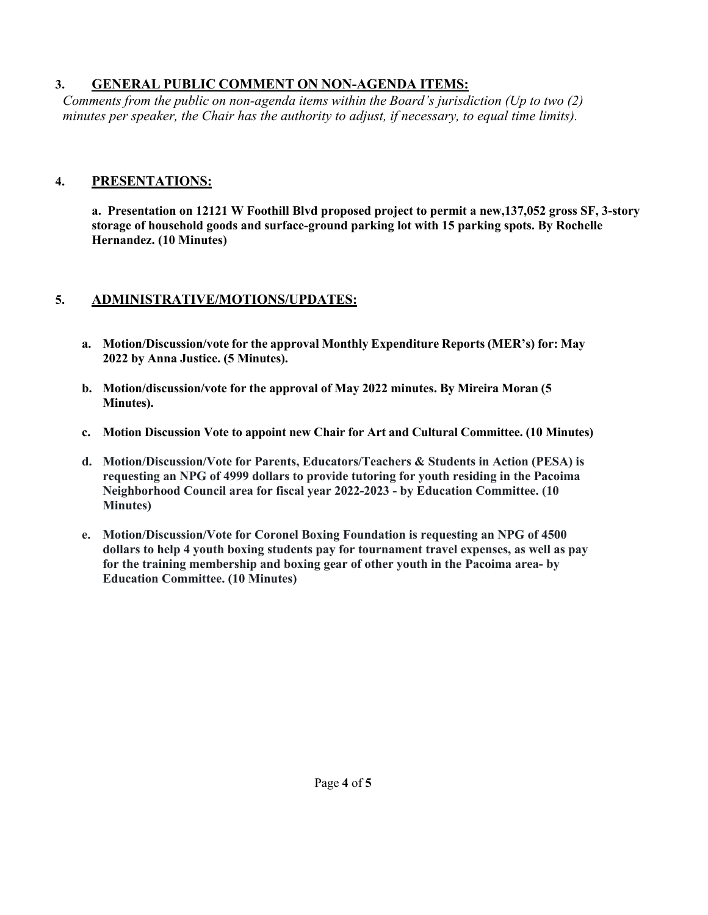# **3. GENERAL PUBLIC COMMENT ON NON-AGENDA ITEMS:**

*Comments from the public on non-agenda items within the Board's jurisdiction (Up to two (2) minutes per speaker, the Chair has the authority to adjust, if necessary, to equal time limits).*

## **4. PRESENTATIONS:**

**a. Presentation on 12121 W Foothill Blvd proposed project to permit a new,137,052 gross SF, 3-story storage of household goods and surface-ground parking lot with 15 parking spots. By Rochelle Hernandez. (10 Minutes)**

# **5. ADMINISTRATIVE/MOTIONS/UPDATES:**

- **a. Motion/Discussion/vote for the approval Monthly Expenditure Reports (MER's) for: May 2022 by Anna Justice. (5 Minutes).**
- **b. Motion/discussion/vote for the approval of May 2022 minutes. By Mireira Moran (5 Minutes).**
- **c. Motion Discussion Vote to appoint new Chair for Art and Cultural Committee. (10 Minutes)**
- **d. Motion/Discussion/Vote for Parents, Educators/Teachers & Students in Action (PESA) is requesting an NPG of 4999 dollars to provide tutoring for youth residing in the Pacoima Neighborhood Council area for fiscal year 2022-2023 - by Education Committee. (10 Minutes)**
- **e. Motion/Discussion/Vote for Coronel Boxing Foundation is requesting an NPG of 4500 dollars to help 4 youth boxing students pay for tournament travel expenses, as well as pay for the training membership and boxing gear of other youth in the Pacoima area- by Education Committee. (10 Minutes)**